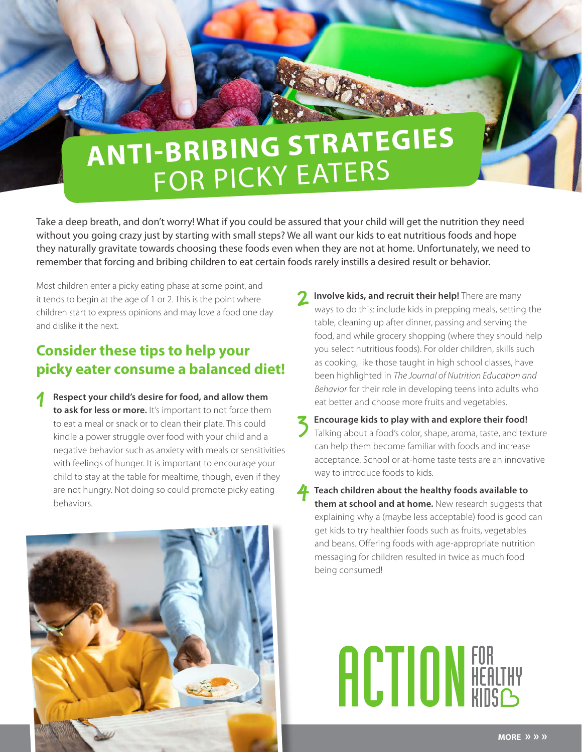## **ANTI-BRIBING STRATEGIES** FOR PICKY EATERS

Take a deep breath, and don't worry! What if you could be assured that your child will get the nutrition they need without you going crazy just by starting with small steps? We all want our kids to eat nutritious foods and hope they naturally gravitate towards choosing these foods even when they are not at home. Unfortunately, we need to remember that forcing and bribing children to eat certain foods rarely instills a desired result or behavior.

Most children enter a picky eating phase at some point, and it tends to begin at the age of 1 or 2. This is the point where children start to express opinions and may love a food one day and dislike it the next.

## **Consider these tips to help your picky eater consume a balanced diet!**

1 **Respect your child's desire for food, and allow them to ask for less or more.** It's important to not force them to eat a meal or snack or to clean their plate. This could kindle a power struggle over food with your child and a negative behavior such as anxiety with meals or sensitivities with feelings of hunger. It is important to encourage your child to stay at the table for mealtime, though, even if they are not hungry. Not doing so could promote picky eating behaviors.



- **2** Involve kids, and recruit their help! There are many ways to do this: include kids in prepping meals, setting the table, cleaning up after dinner, passing and serving the food, and while grocery shopping (where they should help you select nutritious foods). For older children, skills such as cooking, like those taught in high school classes, have been highlighted in *The Journal of Nutrition Education and Behavior* for their role in developing teens into adults who eat better and choose more fruits and vegetables.
- 3 **Encourage kids to play with and explore their food!**  Talking about a food's color, shape, aroma, taste, and texture can help them become familiar with foods and increase acceptance. School or at-home taste tests are an innovative way to introduce foods to kids.
- **4** Teach children about the healthy foods available to **them at school and at home.** New research suggests that explaining why a (maybe less acceptable) food is good can get kids to try healthier foods such as fruits, vegetables and beans. Offering foods with age-appropriate nutrition messaging for children resulted in twice as much food being consumed!

## **ACTION FOR HEALTHY**